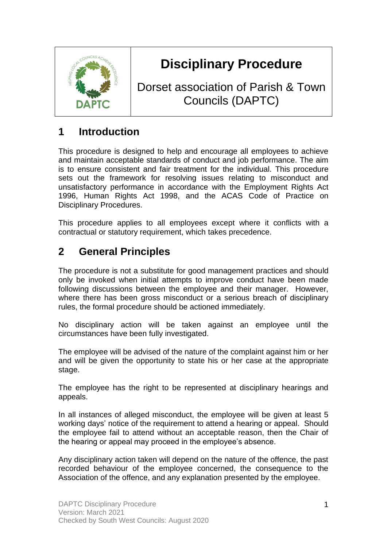

# **Disciplinary Procedure**

Dorset association of Parish & Town Councils (DAPTC)

# **1 Introduction**

This procedure is designed to help and encourage all employees to achieve and maintain acceptable standards of conduct and job performance. The aim is to ensure consistent and fair treatment for the individual. This procedure sets out the framework for resolving issues relating to misconduct and unsatisfactory performance in accordance with the Employment Rights Act 1996, Human Rights Act 1998, and the ACAS Code of Practice on Disciplinary Procedures.

This procedure applies to all employees except where it conflicts with a contractual or statutory requirement, which takes precedence.

# **2 General Principles**

The procedure is not a substitute for good management practices and should only be invoked when initial attempts to improve conduct have been made following discussions between the employee and their manager. However, where there has been gross misconduct or a serious breach of disciplinary rules, the formal procedure should be actioned immediately.

No disciplinary action will be taken against an employee until the circumstances have been fully investigated.

The employee will be advised of the nature of the complaint against him or her and will be given the opportunity to state his or her case at the appropriate stage.

The employee has the right to be represented at disciplinary hearings and appeals.

In all instances of alleged misconduct, the employee will be given at least 5 working days' notice of the requirement to attend a hearing or appeal. Should the employee fail to attend without an acceptable reason, then the Chair of the hearing or appeal may proceed in the employee's absence.

Any disciplinary action taken will depend on the nature of the offence, the past recorded behaviour of the employee concerned, the consequence to the Association of the offence, and any explanation presented by the employee.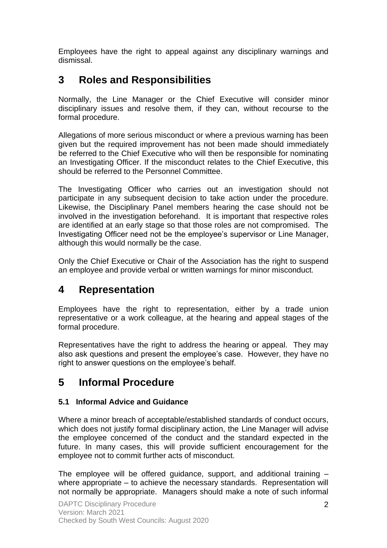Employees have the right to appeal against any disciplinary warnings and dismissal.

## **3 Roles and Responsibilities**

Normally, the Line Manager or the Chief Executive will consider minor disciplinary issues and resolve them, if they can, without recourse to the formal procedure.

Allegations of more serious misconduct or where a previous warning has been given but the required improvement has not been made should immediately be referred to the Chief Executive who will then be responsible for nominating an Investigating Officer. If the misconduct relates to the Chief Executive, this should be referred to the Personnel Committee.

The Investigating Officer who carries out an investigation should not participate in any subsequent decision to take action under the procedure. Likewise, the Disciplinary Panel members hearing the case should not be involved in the investigation beforehand. It is important that respective roles are identified at an early stage so that those roles are not compromised. The Investigating Officer need not be the employee's supervisor or Line Manager, although this would normally be the case.

Only the Chief Executive or Chair of the Association has the right to suspend an employee and provide verbal or written warnings for minor misconduct.

### **4 Representation**

Employees have the right to representation, either by a trade union representative or a work colleague, at the hearing and appeal stages of the formal procedure.

Representatives have the right to address the hearing or appeal. They may also ask questions and present the employee's case. However, they have no right to answer questions on the employee's behalf.

# **5 Informal Procedure**

#### **5.1 Informal Advice and Guidance**

Where a minor breach of acceptable/established standards of conduct occurs, which does not justify formal disciplinary action, the Line Manager will advise the employee concerned of the conduct and the standard expected in the future. In many cases, this will provide sufficient encouragement for the employee not to commit further acts of misconduct.

The employee will be offered guidance, support, and additional training – where appropriate – to achieve the necessary standards. Representation will not normally be appropriate. Managers should make a note of such informal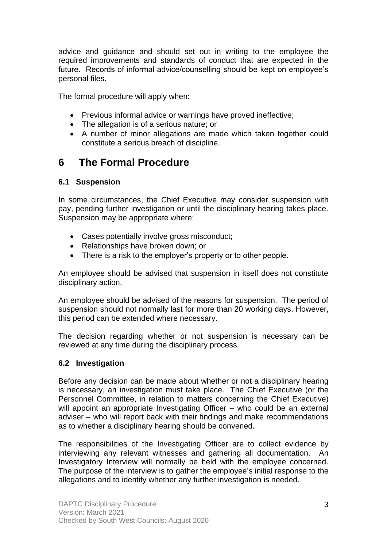advice and guidance and should set out in writing to the employee the required improvements and standards of conduct that are expected in the future. Records of informal advice/counselling should be kept on employee's personal files.

The formal procedure will apply when:

- Previous informal advice or warnings have proved ineffective;
- The allegation is of a serious nature; or
- A number of minor allegations are made which taken together could constitute a serious breach of discipline.

### **6 The Formal Procedure**

#### **6.1 Suspension**

In some circumstances, the Chief Executive may consider suspension with pay, pending further investigation or until the disciplinary hearing takes place. Suspension may be appropriate where:

- Cases potentially involve gross misconduct;
- Relationships have broken down; or
- There is a risk to the employer's property or to other people.

An employee should be advised that suspension in itself does not constitute disciplinary action.

An employee should be advised of the reasons for suspension. The period of suspension should not normally last for more than 20 working days. However, this period can be extended where necessary.

The decision regarding whether or not suspension is necessary can be reviewed at any time during the disciplinary process.

#### **6.2 Investigation**

Before any decision can be made about whether or not a disciplinary hearing is necessary, an investigation must take place. The Chief Executive (or the Personnel Committee, in relation to matters concerning the Chief Executive) will appoint an appropriate Investigating Officer – who could be an external adviser – who will report back with their findings and make recommendations as to whether a disciplinary hearing should be convened.

The responsibilities of the Investigating Officer are to collect evidence by interviewing any relevant witnesses and gathering all documentation. An Investigatory Interview will normally be held with the employee concerned. The purpose of the interview is to gather the employee's initial response to the allegations and to identify whether any further investigation is needed.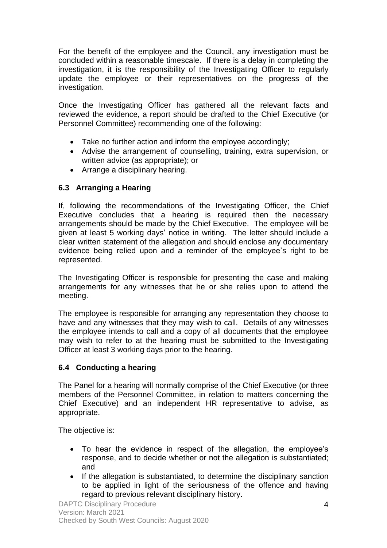For the benefit of the employee and the Council, any investigation must be concluded within a reasonable timescale. If there is a delay in completing the investigation, it is the responsibility of the Investigating Officer to regularly update the employee or their representatives on the progress of the investigation.

Once the Investigating Officer has gathered all the relevant facts and reviewed the evidence, a report should be drafted to the Chief Executive (or Personnel Committee) recommending one of the following:

- Take no further action and inform the employee accordingly;
- Advise the arrangement of counselling, training, extra supervision, or written advice (as appropriate); or
- Arrange a disciplinary hearing.

#### **6.3 Arranging a Hearing**

If, following the recommendations of the Investigating Officer, the Chief Executive concludes that a hearing is required then the necessary arrangements should be made by the Chief Executive. The employee will be given at least 5 working days' notice in writing. The letter should include a clear written statement of the allegation and should enclose any documentary evidence being relied upon and a reminder of the employee's right to be represented.

The Investigating Officer is responsible for presenting the case and making arrangements for any witnesses that he or she relies upon to attend the meeting.

The employee is responsible for arranging any representation they choose to have and any witnesses that they may wish to call. Details of any witnesses the employee intends to call and a copy of all documents that the employee may wish to refer to at the hearing must be submitted to the Investigating Officer at least 3 working days prior to the hearing.

#### **6.4 Conducting a hearing**

The Panel for a hearing will normally comprise of the Chief Executive (or three members of the Personnel Committee, in relation to matters concerning the Chief Executive) and an independent HR representative to advise, as appropriate.

The objective is:

- To hear the evidence in respect of the allegation, the employee's response, and to decide whether or not the allegation is substantiated; and
- If the allegation is substantiated, to determine the disciplinary sanction to be applied in light of the seriousness of the offence and having regard to previous relevant disciplinary history.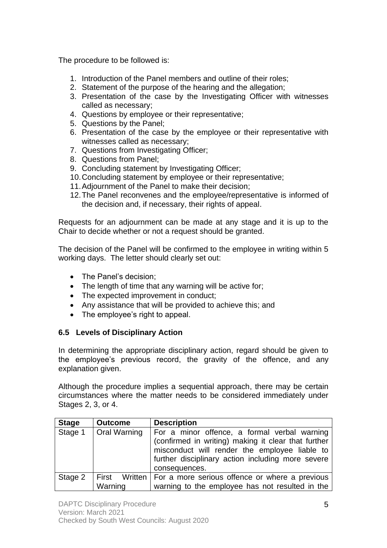The procedure to be followed is:

- 1. Introduction of the Panel members and outline of their roles;
- 2. Statement of the purpose of the hearing and the allegation;
- 3. Presentation of the case by the Investigating Officer with witnesses called as necessary;
- 4. Questions by employee or their representative;
- 5. Questions by the Panel;
- 6. Presentation of the case by the employee or their representative with witnesses called as necessary;
- 7. Questions from Investigating Officer;
- 8. Questions from Panel;
- 9. Concluding statement by Investigating Officer;
- 10.Concluding statement by employee or their representative;
- 11.Adjournment of the Panel to make their decision;
- 12.The Panel reconvenes and the employee/representative is informed of the decision and, if necessary, their rights of appeal.

Requests for an adjournment can be made at any stage and it is up to the Chair to decide whether or not a request should be granted.

The decision of the Panel will be confirmed to the employee in writing within 5 working days. The letter should clearly set out:

- The Panel's decision:
- The length of time that any warning will be active for;
- The expected improvement in conduct;
- Any assistance that will be provided to achieve this; and
- The employee's right to appeal.

#### **6.5 Levels of Disciplinary Action**

In determining the appropriate disciplinary action, regard should be given to the employee's previous record, the gravity of the offence, and any explanation given.

Although the procedure implies a sequential approach, there may be certain circumstances where the matter needs to be considered immediately under Stages 2, 3, or 4.

| <b>Stage</b> | <b>Outcome</b>      | <b>Description</b>                                                                                                                                                                                                         |
|--------------|---------------------|----------------------------------------------------------------------------------------------------------------------------------------------------------------------------------------------------------------------------|
| Stage 1      | <b>Oral Warning</b> | For a minor offence, a formal verbal warning<br>(confirmed in writing) making it clear that further<br>misconduct will render the employee liable to<br>further disciplinary action including more severe<br>consequences. |
| Stage 2      | Warning             | First Written   For a more serious offence or where a previous<br>warning to the employee has not resulted in the                                                                                                          |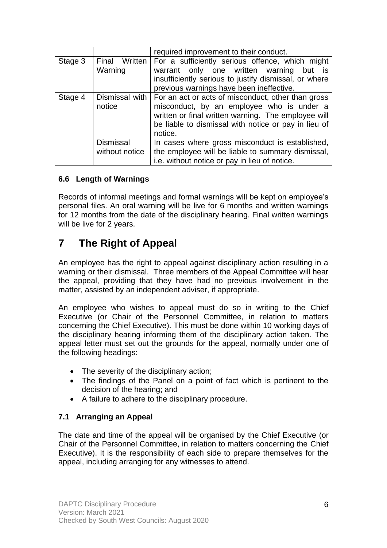|         |                                    | required improvement to their conduct.                                                                                                                                                                                    |
|---------|------------------------------------|---------------------------------------------------------------------------------------------------------------------------------------------------------------------------------------------------------------------------|
| Stage 3 | Final Written<br>Warning           | For a sufficiently serious offence, which might<br>warrant only one written warning but is<br>insufficiently serious to justify dismissal, or where<br>previous warnings have been ineffective.                           |
| Stage 4 | Dismissal with  <br>notice         | For an act or acts of misconduct, other than gross<br>misconduct, by an employee who is under a<br>written or final written warning. The employee will<br>be liable to dismissal with notice or pay in lieu of<br>notice. |
|         | <b>Dismissal</b><br>without notice | In cases where gross misconduct is established,<br>the employee will be liable to summary dismissal,<br>i.e. without notice or pay in lieu of notice.                                                                     |

#### **6.6 Length of Warnings**

Records of informal meetings and formal warnings will be kept on employee's personal files. An oral warning will be live for 6 months and written warnings for 12 months from the date of the disciplinary hearing. Final written warnings will be live for 2 years.

# **7 The Right of Appeal**

An employee has the right to appeal against disciplinary action resulting in a warning or their dismissal. Three members of the Appeal Committee will hear the appeal, providing that they have had no previous involvement in the matter, assisted by an independent adviser, if appropriate.

An employee who wishes to appeal must do so in writing to the Chief Executive (or Chair of the Personnel Committee, in relation to matters concerning the Chief Executive). This must be done within 10 working days of the disciplinary hearing informing them of the disciplinary action taken. The appeal letter must set out the grounds for the appeal, normally under one of the following headings:

- The severity of the disciplinary action;
- The findings of the Panel on a point of fact which is pertinent to the decision of the hearing; and
- A failure to adhere to the disciplinary procedure.

#### **7.1 Arranging an Appeal**

The date and time of the appeal will be organised by the Chief Executive (or Chair of the Personnel Committee, in relation to matters concerning the Chief Executive). It is the responsibility of each side to prepare themselves for the appeal, including arranging for any witnesses to attend.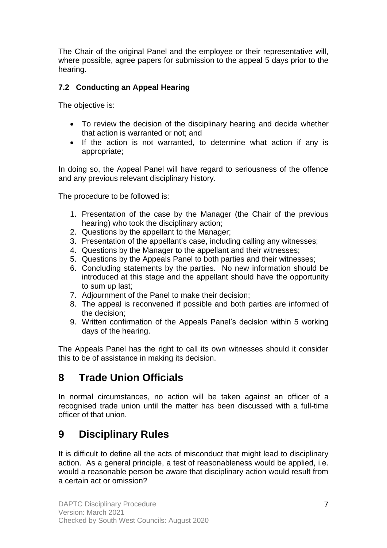The Chair of the original Panel and the employee or their representative will, where possible, agree papers for submission to the appeal 5 days prior to the hearing.

#### **7.2 Conducting an Appeal Hearing**

The objective is:

- To review the decision of the disciplinary hearing and decide whether that action is warranted or not; and
- If the action is not warranted, to determine what action if any is appropriate;

In doing so, the Appeal Panel will have regard to seriousness of the offence and any previous relevant disciplinary history.

The procedure to be followed is:

- 1. Presentation of the case by the Manager (the Chair of the previous hearing) who took the disciplinary action;
- 2. Questions by the appellant to the Manager;
- 3. Presentation of the appellant's case, including calling any witnesses;
- 4. Questions by the Manager to the appellant and their witnesses;
- 5. Questions by the Appeals Panel to both parties and their witnesses;
- 6. Concluding statements by the parties. No new information should be introduced at this stage and the appellant should have the opportunity to sum up last;
- 7. Adjournment of the Panel to make their decision;
- 8. The appeal is reconvened if possible and both parties are informed of the decision;
- 9. Written confirmation of the Appeals Panel's decision within 5 working days of the hearing.

The Appeals Panel has the right to call its own witnesses should it consider this to be of assistance in making its decision.

### **8 Trade Union Officials**

In normal circumstances, no action will be taken against an officer of a recognised trade union until the matter has been discussed with a full-time officer of that union.

### **9 Disciplinary Rules**

It is difficult to define all the acts of misconduct that might lead to disciplinary action. As a general principle, a test of reasonableness would be applied, i.e. would a reasonable person be aware that disciplinary action would result from a certain act or omission?